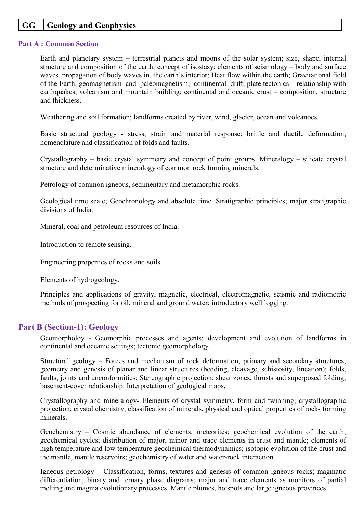## **GG Geology and Geophysics**

## **Part A : Common Section**

Earth and planetary system – terrestrial planets and moons of the solar system; size, shape, internal structure and composition of the earth; concept of isostasy; elements of seismology – body and surface waves, propagation of body waves in the earth's interior; Heat flow within the earth; Gravitational field of the Earth; geomagnetism and paleomagnetism; continental drift; plate tectonics – relationship with earthquakes, volcanism and mountain building; continental and oceanic crust – composition, structure and thickness.

Weathering and soil formation; landforms created by river, wind, glacier, ocean and volcanoes.

Basic structural geology - stress, strain and material response; brittle and ductile deformation; nomenclature and classification of folds and faults.

Crystallography – basic crystal symmetry and concept of point groups. Mineralogy – silicate crystal structure and determinative mineralogy of common rock forming minerals.

Petrology of common igneous, sedimentary and metamorphic rocks.

Geological time scale; Geochronology and absolute time. Stratigraphic principles; major stratigraphic divisions of India.

Mineral, coal and petroleum resources of India.

Introduction to remote sensing.

Engineering properties of rocks and soils.

Elements of hydrogeology.

Principles and applications of gravity, magnetic, electrical, electromagnetic, seismic and radiometric methods of prospecting for oil, mineral and ground water; introductory well logging.

## **Part B (Section-1): Geology**

Geomorpholoy - Geomorphic processes and agents; development and evolution of landforms in continental and oceanic settings; tectonic geomorphology.

Structural geology – Forces and mechanism of rock deformation; primary and secondary structures; geometry and genesis of planar and linear structures (bedding, cleavage, schistosity, lineation); folds, faults, joints and unconformities; Stereographic projection; shear zones, thrusts and superposed folding; basement-cover relationship. Interpretation of geological maps.

Crystallography and mineralogy- Elements of crystal symmetry, form and twinning; crystallographic projection; crystal chemistry; classification of minerals, physical and optical properties of rock- forming minerals.

Geochemistry – Cosmic abundance of elements; meteorites; geochemical evolution of the earth; geochemical cycles; distribution of major, minor and trace elements in crust and mantle; elements of high temperature and low temperature geochemical thermodynamics; isotopic evolution of the crust and the mantle, mantle reservoirs; geochemistry of water and water-rock interaction.

Igneous petrology – Classification, forms, textures and genesis of common igneous rocks; magmatic differentiation; binary and ternary phase diagrams; major and trace elements as monitors of partial melting and magma evolutionary processes. Mantle plumes, hotspots and large igneous provinces.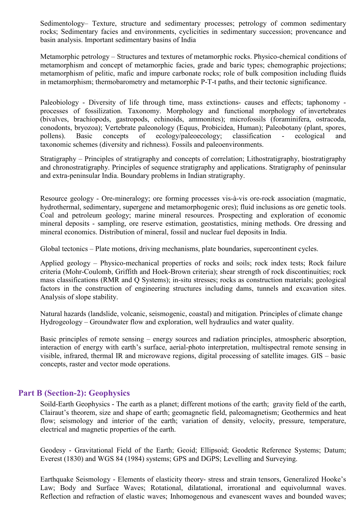Sedimentology– Texture, structure and sedimentary processes; petrology of common sedimentary rocks; Sedimentary facies and environments, cyclicities in sedimentary succession; provencance and basin analysis. Important sedimentary basins of India

Metamorphic petrology – Structures and textures of metamorphic rocks. Physico-chemical conditions of metamorphism and concept of metamorphic facies, grade and baric types; chemographic projections; metamorphism of pelitic, mafic and impure carbonate rocks; role of bulk composition including fluids in metamorphism; thermobarometry and metamorphic P-T-t paths, and their tectonic significance.

Paleobiology - Diversity of life through time, mass extinctions- causes and effects; taphonomy processes of fossilization. Taxonomy. Morphology and functional morphology of invertebrates (bivalves, brachiopods, gastropods, echinoids, ammonites); microfossils (foraminifera, ostracoda, conodonts, bryozoa); Vertebrate paleonology (Equus, Probicidea, Human); Paleobotany (plant, spores, pollens). Basic concepts of ecology/paleoecology; classification - ecological and taxonomic schemes (diversity and richness). Fossils and paleoenvironments.

Stratigraphy – Principles of stratigraphy and concepts of correlation; Lithostratigraphy, biostratigraphy and chronostratigraphy. Principles of sequence stratigraphy and applications. Stratigraphy of peninsular and extra-peninsular India. Boundary problems in Indian stratigraphy.

Resource geology - Ore-mineralogy; ore forming processes vis-à-vis ore-rock association (magmatic, hydrothermal, sedimentary, supergene and metamorphogenic ores); fluid inclusions as ore genetic tools. Coal and petroleum geology; marine mineral resources. Prospecting and exploration of economic mineral deposits - sampling, ore reserve estimation, geostatistics, mining methods. Ore dressing and mineral economics. Distribution of mineral, fossil and nuclear fuel deposits in India.

Global tectonics – Plate motions, driving mechanisms, plate boundaries, supercontinent cycles.

Applied geology – Physico-mechanical properties of rocks and soils; rock index tests; Rock failure criteria (Mohr-Coulomb, Griffith and Hoek-Brown criteria); shear strength of rock discontinuities; rock mass classifications (RMR and Q Systems); in-situ stresses; rocks as construction materials; geological factors in the construction of engineering structures including dams, tunnels and excavation sites. Analysis of slope stability.

Natural hazards (landslide, volcanic, seismogenic, coastal) and mitigation. Principles of climate change Hydrogeology – Groundwater flow and exploration, well hydraulics and water quality.

Basic principles of remote sensing – energy sources and radiation principles, atmospheric absorption, interaction of energy with earth's surface, aerial-photo interpretation, multispectral remote sensing in visible, infrared, thermal IR and microwave regions, digital processing of satellite images. GIS – basic concepts, raster and vector mode operations.

## **Part B (Section-2): Geophysics**

Soild-Earth Geophysics - The earth as a planet; different motions of the earth; gravity field of the earth, Clairaut's theorem, size and shape of earth; geomagnetic field, paleomagnetism; Geothermics and heat flow; seismology and interior of the earth; variation of density, velocity, pressure, temperature, electrical and magnetic properties of the earth.

Geodesy - Gravitational Field of the Earth; Geoid; Ellipsoid; Geodetic Reference Systems; Datum; Everest (1830) and WGS 84 (1984) systems; GPS and DGPS; Levelling and Surveying.

Earthquake Seismology - Elements of elasticity theory- stress and strain tensors, Generalized Hooke's Law; Body and Surface Waves; Rotational, dilatational, irrorational and equivolumnal waves. Reflection and refraction of elastic waves; Inhomogenous and evanescent waves and bounded waves;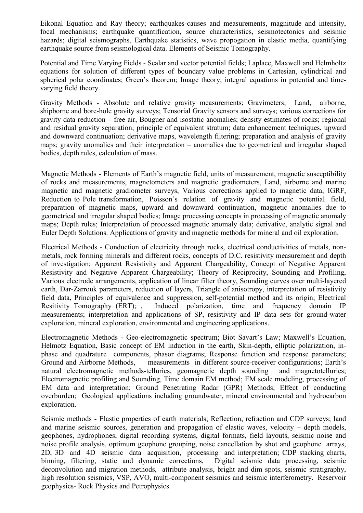Eikonal Equation and Ray theory; earthquakes-causes and measurements, magnitude and intensity, focal mechanisms; earthquake quantification, source characteristics, seismotectonics and seismic hazards; digital seismographs, Earthquake statistics, wave propogation in elastic media, quantifying earthquake source from seismological data. Elements of Seismic Tomography.

Potential and Time Varying Fields - Scalar and vector potential fields; Laplace, Maxwell and Helmholtz equations for solution of different types of boundary value problems in Cartesian, cylindrical and spherical polar coordinates; Green's theorem; Image theory; integral equations in potential and timevarying field theory.

Gravity Methods - Absolute and relative gravity measurements; Gravimeters; Land, airborne, shipborne and bore-hole gravity surveys; Tensorial Gravity sensors and surveys; various corrections for gravity data reduction – free air, Bouguer and isostatic anomalies; density estimates of rocks; regional and residual gravity separation; principle of equivalent stratum; data enhancement techniques, upward and downward continuation; derivative maps, wavelength filtering; preparation and analysis of gravity maps; gravity anomalies and their interpretation – anomalies due to geometrical and irregular shaped bodies, depth rules, calculation of mass.

Magnetic Methods - Elements of Earth's magnetic field, units of measurement, magnetic susceptibility of rocks and measurements, magnetometers and magnetic gradiometers, Land, airborne and marine magnetic and magnetic gradiometer surveys, Various corrections applied to magnetic data, IGRF, Reduction to Pole transformation, Poisson's relation of gravity and magnetic potential field, preparation of magnetic maps, upward and downward continuation, magnetic anomalies due to geometrical and irregular shaped bodies; Image processing concepts in processing of magnetic anomaly maps; Depth rules; Interpretation of processed magnetic anomaly data; derivative, analytic signal and Euler Depth Solutions. Applications of gravity and magnetic methods for mineral and oil exploration.

Electrical Methods - Conduction of electricity through rocks, electrical conductivities of metals, nonmetals, rock forming minerals and different rocks, concepts of D.C. resistivity measurement and depth of investigation; Apparent Resistivity and Apparent Chargeability, Concept of Negative Apparent Resistivity and Negative Apparent Chargeability; Theory of Reciprocity, Sounding and Profiling, Various electrode arrangements, application of linear filter theory, Sounding curves over multi-layered earth, Dar-Zarrouk parameters, reduction of layers, Triangle of anisotropy, interpretation of resistivity field data, Principles of equivalence and suppression, self-potential method and its origin; Electrical Resitivity Tomography (ERT); , Induced polarization, time and frequency domain IP measurements; interpretation and applications of SP, resistivity and IP data sets for ground-water exploration, mineral exploration, environmental and engineering applications.

Electromagnetic Methods - Geo-electromagnetic spectrum; Biot Savart's Law; Maxwell's Equation, Helmotz Equation, Basic concept of EM induction in the earth, Skin-depth, elliptic polarization, inphase and quadrature components, phasor diagrams; Response function and response parameters; Ground and Airborne Methods, measurements in different source-receiver configurations; Earth's natural electromagnetic methods-tellurics, geomagnetic depth sounding and magnetotellurics; Electromagnetic profiling and Sounding, Time domain EM method; EM scale modeling, processing of EM data and interpretation; Ground Penetrating Radar (GPR) Methods; Effect of conducting overburden; Geological applications including groundwater, mineral environmental and hydrocarbon exploration.

Seismic methods - Elastic properties of earth materials; Reflection, refraction and CDP surveys; land and marine seismic sources, generation and propagation of elastic waves, velocity – depth models, geophones, hydrophones, digital recording systems, digital formats, field layouts, seismic noise and noise profile analysis, optimum geophone grouping, noise cancellation by shot and geophone arrays, 2D, 3D and 4D seismic data acquisition, processing and interpretation; CDP stacking charts, binning, filtering, static and dynamic corrections, Digital seismic data processing, seismic deconvolution and migration methods, attribute analysis, bright and dim spots, seismic stratigraphy, high resolution seismics, VSP, AVO, multi-component seismics and seismic interferometry. Reservoir geophysics- Rock Physics and Petrophysics.